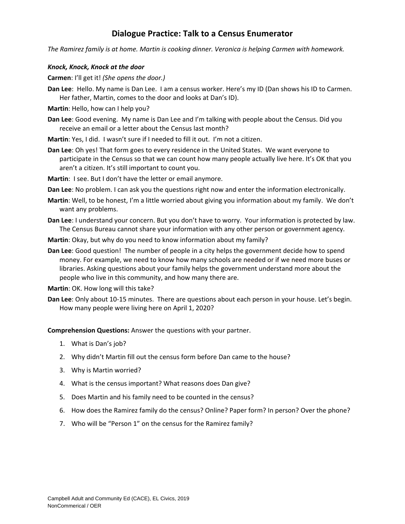# **Dialogue Practice: Talk to a Census Enumerator**

*The Ramirez family is at home. Martin is cooking dinner. Veronica is helping Carmen with homework.* 

### *Knock, Knock, Knock at the door*

**Carmen**: I'll get it! *(She opens the door.)*

- **Dan Lee**: Hello. My name is Dan Lee. I am a census worker. Here's my ID (Dan shows his ID to Carmen. Her father, Martin, comes to the door and looks at Dan's ID).
- **Martin**: Hello, how can I help you?
- **Dan Lee**: Good evening. My name is Dan Lee and I'm talking with people about the Census. Did you receive an email or a letter about the Census last month?
- **Martin**: Yes, I did. I wasn't sure if I needed to fill it out. I'm not a citizen.
- **Dan Lee**: Oh yes! That form goes to every residence in the United States. We want everyone to participate in the Census so that we can count how many people actually live here. It's OK that you aren't a citizen. It's still important to count you.
- **Martin**: I see. But I don't have the letter or email anymore.
- **Dan Lee**: No problem. I can ask you the questions right now and enter the information electronically.
- **Martin**: Well, to be honest, I'm a little worried about giving you information about my family. We don't want any problems.
- **Dan Lee**: I understand your concern. But you don't have to worry. Your information is protected by law. The Census Bureau cannot share your information with any other person or government agency.
- **Martin**: Okay, but why do you need to know information about my family?
- **Dan Lee**: Good question! The number of people in a city helps the government decide how to spend money. For example, we need to know how many schools are needed or if we need more buses or libraries. Asking questions about your family helps the government understand more about the people who live in this community, and how many there are.
- **Martin**: OK. How long will this take?
- **Dan Lee**: Only about 10-15 minutes. There are questions about each person in your house. Let's begin. How many people were living here on April 1, 2020?

**Comprehension Questions:** Answer the questions with your partner.

- 1. What is Dan's job?
- 2. Why didn't Martin fill out the census form before Dan came to the house?
- 3. Why is Martin worried?
- 4. What is the census important? What reasons does Dan give?
- 5. Does Martin and his family need to be counted in the census?
- 6. How does the Ramirez family do the census? Online? Paper form? In person? Over the phone?
- 7. Who will be "Person 1" on the census for the Ramirez family?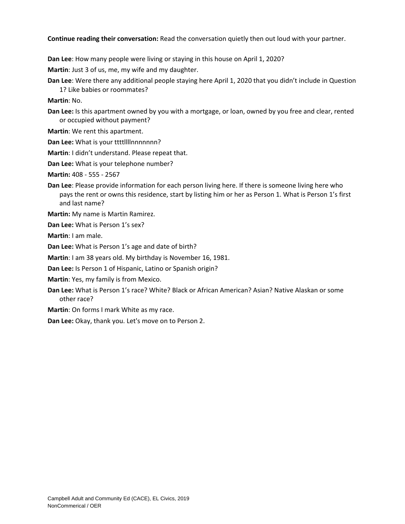#### **Continue reading their conversation:** Read the conversation quietly then out loud with your partner.

**Dan Lee**: How many people were living or staying in this house on April 1, 2020?

**Martin**: Just 3 of us, me, my wife and my daughter.

**Dan Lee**: Were there any additional people staying here April 1, 2020 that you didn't include in Question 1? Like babies or roommates?

**Martin**: No.

- **Dan Lee:** Is this apartment owned by you with a mortgage, or loan, owned by you free and clear, rented or occupied without payment?
- **Martin**: We rent this apartment.
- **Dan Lee: What is your ttttllllnnnnnnn?**
- **Martin**: I didn't understand. Please repeat that.
- **Dan Lee:** What is your telephone number?

**Martin:** 408 - 555 - 2567

- **Dan Lee**: Please provide information for each person living here. If there is someone living here who pays the rent or owns this residence, start by listing him or her as Person 1. What is Person 1's first and last name?
- **Martin:** My name is Martin Ramirez.

**Dan Lee:** What is Person 1's sex?

**Martin**: I am male.

**Dan Lee:** What is Person 1's age and date of birth?

**Martin**: I am 38 years old. My birthday is November 16, 1981.

- **Dan Lee:** Is Person 1 of Hispanic, Latino or Spanish origin?
- **Martin**: Yes, my family is from Mexico.
- **Dan Lee:** What is Person 1's race? White? Black or African American? Asian? Native Alaskan or some other race?
- **Martin**: On forms I mark White as my race.

**Dan Lee:** Okay, thank you. Let's move on to Person 2.